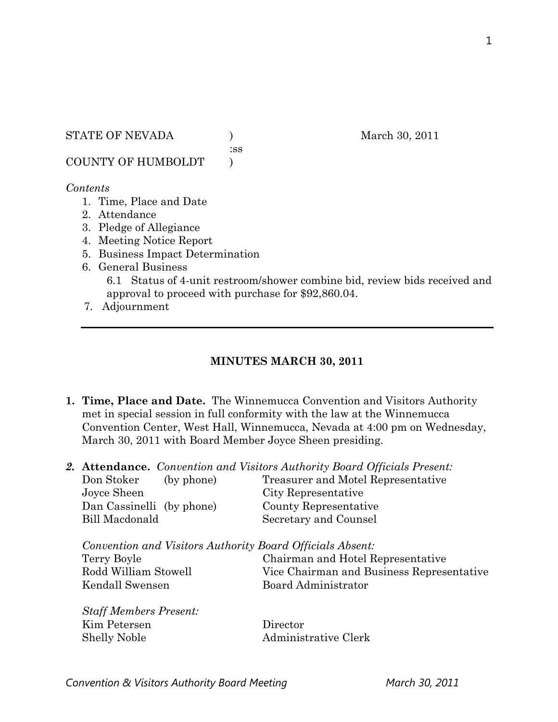:ss

COUNTY OF HUMBOLDT )

#### *Contents*

- 1. Time, Place and Date
- 2. Attendance
- 3. Pledge of Allegiance
- 4. Meeting Notice Report
- 5. Business Impact Determination
- 6. General Business

6.1 Status of 4-unit restroom/shower combine bid, review bids received and approval to proceed with purchase for \$92,860.04.

7. Adjournment

## **MINUTES MARCH 30, 2011**

**1. Time, Place and Date.** The Winnemucca Convention and Visitors Authority met in special session in full conformity with the law at the Winnemucca Convention Center, West Hall, Winnemucca, Nevada at 4:00 pm on Wednesday, March 30, 2011 with Board Member Joyce Sheen presiding.

|                                                           | <b>2. Attendance.</b> Convention and Visitors Authority Board Officials Present: |
|-----------------------------------------------------------|----------------------------------------------------------------------------------|
| (by phone)<br>Don Stoker                                  | Treasurer and Motel Representative                                               |
| Joyce Sheen                                               | City Representative                                                              |
| Dan Cassinelli (by phone)                                 | County Representative                                                            |
| <b>Bill Macdonald</b>                                     | Secretary and Counsel                                                            |
| Convention and Visitors Authority Board Officials Absent: |                                                                                  |
| Terry Boyle                                               | Chairman and Hotel Representative                                                |
| Rodd William Stowell                                      | Vice Chairman and Business Representative                                        |
| Kendall Swensen                                           | Board Administrator                                                              |
|                                                           |                                                                                  |
| <b>Staff Members Present:</b>                             |                                                                                  |

Kim Petersen Director Shelly Noble Administrative Clerk

Convention & Visitors Authority Board Meeting March 30, 2011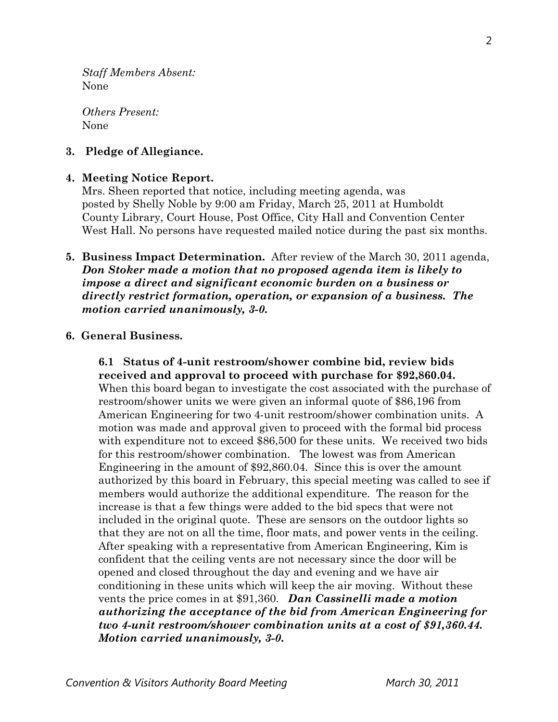*Staff Members Absent:*  None

*Others Present:*  None

### **3. Pledge of Allegiance.**

#### **4. Meeting Notice Report.**

Mrs. Sheen reported that notice, including meeting agenda, was posted by Shelly Noble by 9:00 am Friday, March 25, 2011 at Humboldt County Library, Court House, Post Office, City Hall and Convention Center West Hall. No persons have requested mailed notice during the past six months.

**5. Business Impact Determination.** After review of the March 30, 2011 agenda, *Don Stoker made a motion that no proposed agenda item is likely to impose a direct and significant economic burden on a business or directly restrict formation, operation, or expansion of a business. The motion carried unanimously, 3-0.* 

### **6. General Business.**

**6.1 Status of 4-unit restroom/shower combine bid, review bids received and approval to proceed with purchase for \$92,860.04.**  When this board began to investigate the cost associated with the purchase of restroom/shower units we were given an informal quote of \$86,196 from American Engineering for two 4-unit restroom/shower combination units. A motion was made and approval given to proceed with the formal bid process with expenditure not to exceed \$86,500 for these units. We received two bids for this restroom/shower combination. The lowest was from American Engineering in the amount of \$92,860.04. Since this is over the amount authorized by this board in February, this special meeting was called to see if members would authorize the additional expenditure. The reason for the increase is that a few things were added to the bid specs that were not included in the original quote. These are sensors on the outdoor lights so that they are not on all the time, floor mats, and power vents in the ceiling. After speaking with a representative from American Engineering, Kim is confident that the ceiling vents are not necessary since the door will be opened and closed throughout the day and evening and we have air conditioning in these units which will keep the air moving. Without these vents the price comes in at \$91,360. *Dan Cassinelli made a motion authorizing the acceptance of the bid from American Engineering for two 4-unit restroom/shower combination units at a cost of \$91,360.44. Motion carried unanimously, 3-0.*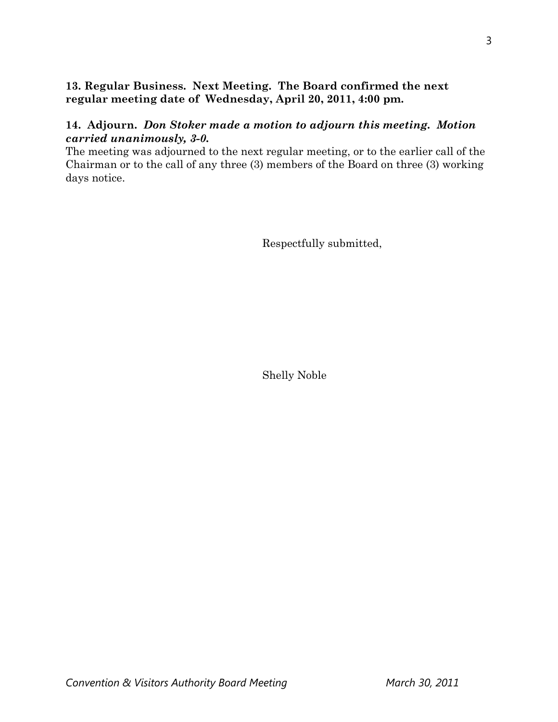# **13. Regular Business. Next Meeting. The Board confirmed the next regular meeting date of Wednesday, April 20, 2011, 4:00 pm.**

# **14. Adjourn.** *Don Stoker made a motion to adjourn this meeting. Motion carried unanimously, 3-0.*

The meeting was adjourned to the next regular meeting, or to the earlier call of the Chairman or to the call of any three (3) members of the Board on three (3) working days notice.

Respectfully submitted,

Shelly Noble